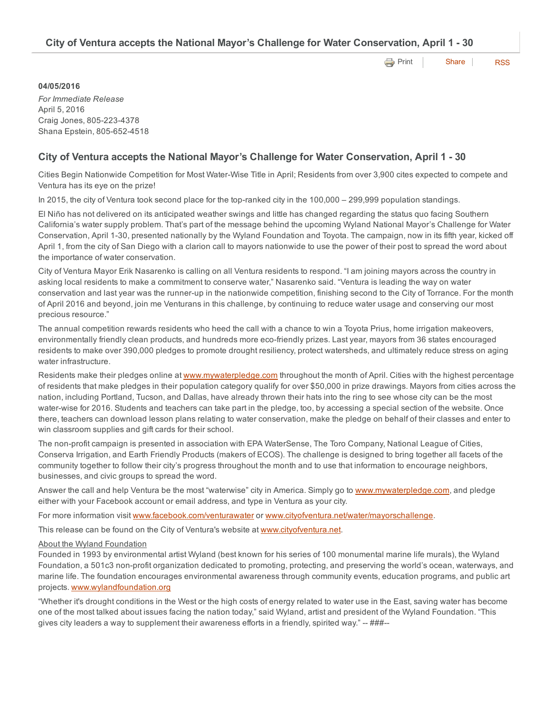**[Print](http://www.cityofventura.net/print/17559) [Share](javascript:void(0)) [RSS](http://www.cityofventura.net/feed/press_release/rss.xml)** 

## 04/05/2016

*For Immediate Release* April 5, 2016 Craig Jones, 805-223-4378 Shana Epstein, 805-652-4518

## City of Ventura accepts the National Mayor's Challenge for Water Conservation, April 1 30

Cities Begin Nationwide Competition for Most Water-Wise Title in April; Residents from over 3,900 cites expected to compete and Ventura has its eye on the prize!

In 2015, the city of Ventura took second place for the top-ranked city in the  $100,000 - 299,999$  population standings.

El Niño has not delivered on its anticipated weather swings and little has changed regarding the status quo facing Southern California's water supply problem. That's part of the message behind the upcoming Wyland National Mayor's Challenge for Water Conservation, April 130, presented nationally by the Wyland Foundation and Toyota. The campaign, now in its fifth year, kicked off April 1, from the city of San Diego with a clarion call to mayors nationwide to use the power of their post to spread the word about the importance of water conservation.

City of Ventura Mayor Erik Nasarenko is calling on all Ventura residents to respond. "I am joining mayors across the country in asking local residents to make a commitment to conserve water," Nasarenko said. "Ventura is leading the way on water conservation and last year was the runner-up in the nationwide competition, finishing second to the City of Torrance. For the month of April 2016 and beyond, join me Venturans in this challenge, by continuing to reduce water usage and conserving our most precious resource."

The annual competition rewards residents who heed the call with a chance to win a Toyota Prius, home irrigation makeovers, environmentally friendly clean products, and hundreds more eco-friendly prizes. Last year, mayors from 36 states encouraged residents to make over 390,000 pledges to promote drought resiliency, protect watersheds, and ultimately reduce stress on aging water infrastructure.

Residents make their pledges online at [www.mywaterpledge.com](http://www.mywaterpledge.com/) throughout the month of April. Cities with the highest percentage of residents that make pledges in their population category qualify for over \$50,000 in prize drawings. Mayors from cities across the nation, including Portland, Tucson, and Dallas, have already thrown their hats into the ring to see whose city can be the most water-wise for 2016. Students and teachers can take part in the pledge, too, by accessing a special section of the website. Once there, teachers can download lesson plans relating to water conservation, make the pledge on behalf of their classes and enter to win classroom supplies and gift cards for their school.

The non-profit campaign is presented in association with EPA WaterSense, The Toro Company, National League of Cities, Conserva Irrigation, and Earth Friendly Products (makers of ECOS). The challenge is designed to bring together all facets of the community together to follow their city's progress throughout the month and to use that information to encourage neighbors, businesses, and civic groups to spread the word.

Answer the call and help Ventura be the most "waterwise" city in America. Simply go to [www.mywaterpledge.com,](http://www.mywaterpledge.com/) and pledge either with your Facebook account or email address, and type in Ventura as your city.

For more information visit [www.facebook.com/venturawater](http://www.facebook.com/venturawater) or [www.cityofventura.net/water/mayorschallenge.](http://www.cityofventura.net/water/mayorschallenge)

This release can be found on the City of Ventura's website at [www.cityofventura.net.](http://www.cityofventura.net/)

## About the Wyland Foundation

Founded in 1993 by environmental artist Wyland (best known for his series of 100 monumental marine life murals), the Wyland Foundation, a 501c3 non-profit organization dedicated to promoting, protecting, and preserving the world's ocean, waterways, and marine life. The foundation encourages environmental awareness through community events, education programs, and public art projects. [www.wylandfoundation.org](http://www.wylandfoundation.org/)

"Whether it's drought conditions in the West or the high costs of energy related to water use in the East, saving water has become one of the most talked about issues facing the nation today," said Wyland, artist and president of the Wyland Foundation. "This gives city leaders a way to supplement their awareness efforts in a friendly, spirited way."  $-$  ### $-$